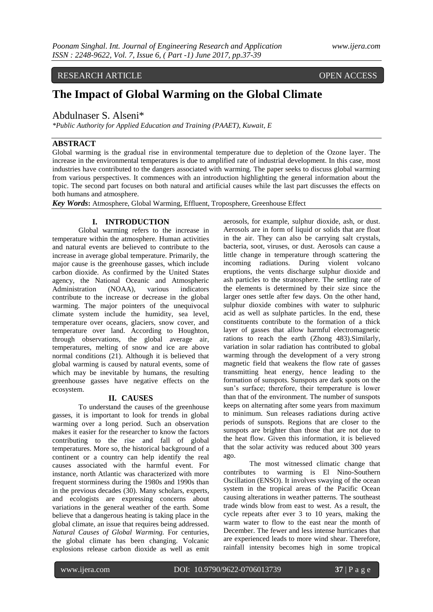# RESEARCH ARTICLE OPEN ACCESS

# **The Impact of Global Warming on the Global Climate**

# Abdulnaser S. Alseni\*

*\*Public Authority for Applied Education and Training (PAAET), Kuwait, E*

## **ABSTRACT**

Global warming is the gradual rise in environmental temperature due to depletion of the Ozone layer. The increase in the environmental temperatures is due to amplified rate of industrial development. In this case, most industries have contributed to the dangers associated with warming. The paper seeks to discuss global warming from various perspectives. It commences with an introduction highlighting the general information about the topic. The second part focuses on both natural and artificial causes while the last part discusses the effects on both humans and atmosphere.

*Key Words***:** Atmosphere, Global Warming, Effluent, Troposphere, Greenhouse Effect

# **I. INTRODUCTION**

Global warming refers to the increase in temperature within the atmosphere. Human activities and natural events are believed to contribute to the increase in average global temperature. Primarily, the major cause is the greenhouse gasses, which include carbon dioxide. As confirmed by the United States agency, the National Oceanic and Atmospheric Administration (NOAA), various indicators contribute to the increase or decrease in the global warming. The major pointers of the unequivocal climate system include the humidity, sea level, temperature over oceans, glaciers, snow cover, and temperature over land. According to Houghton, through observations, the global average air, temperatures, melting of snow and ice are above normal conditions (21). Although it is believed that global warming is caused by natural events, some of which may be inevitable by humans, the resulting greenhouse gasses have negative effects on the ecosystem.

#### **II. CAUSES**

To understand the causes of the greenhouse gasses, it is important to look for trends in global warming over a long period. Such an observation makes it easier for the researcher to know the factors contributing to the rise and fall of global temperatures. More so, the historical background of a continent or a country can help identify the real causes associated with the harmful event. For instance, north Atlantic was characterized with more frequent storminess during the 1980s and 1990s than in the previous decades (30). Many scholars, experts, and ecologists are expressing concerns about variations in the general weather of the earth. Some believe that a dangerous heating is taking place in the global climate, an issue that requires being addressed. *Natural Causes of Global Warming.* For centuries, the global climate has been changing. Volcanic explosions release carbon dioxide as well as emit

aerosols, for example, sulphur dioxide, ash, or dust. Aerosols are in form of liquid or solids that are float in the air. They can also be carrying salt crystals, bacteria, soot, viruses, or dust. Aerosols can cause a little change in temperature through scattering the incoming radiations. During violent volcano eruptions, the vents discharge sulphur dioxide and ash particles to the stratosphere. The settling rate of the elements is determined by their size since the larger ones settle after few days. On the other hand, sulphur dioxide combines with water to sulphuric acid as well as sulphate particles. In the end, these constituents contribute to the formation of a thick layer of gasses that allow harmful electromagnetic rations to reach the earth (Zhong 483).Similarly, variation in solar radiation has contributed to global warming through the development of a very strong magnetic field that weakens the flow rate of gasses transmitting heat energy, hence leading to the formation of sunspots. Sunspots are dark spots on the sun's surface; therefore, their temperature is lower than that of the environment. The number of sunspots keeps on alternating after some years from maximum to minimum. Sun releases radiations during active periods of sunspots. Regions that are closer to the sunspots are brighter than those that are not due to the heat flow. Given this information, it is believed that the solar activity was reduced about 300 years ago.

The most witnessed climatic change that contributes to warming is El Nino-Southern Oscillation (ENSO). It involves swaying of the ocean system in the tropical areas of the Pacific Ocean causing alterations in weather patterns. The southeast trade winds blow from east to west. As a result, the cycle repeats after ever 3 to 10 years, making the warm water to flow to the east near the month of December. The fewer and less intense hurricanes that are experienced leads to more wind shear. Therefore, rainfall intensity becomes high in some tropical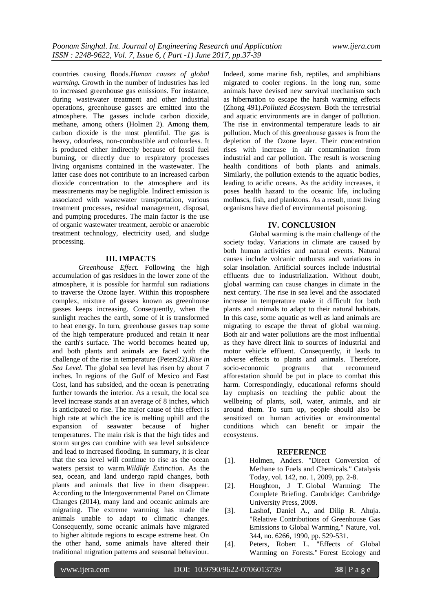countries causing floods.*Human causes of global warming.* Growth in the number of industries has led to increased greenhouse gas emissions. For instance, during wastewater treatment and other industrial operations, greenhouse gasses are emitted into the atmosphere. The gasses include carbon dioxide, methane, among others (Holmen 2). Among them, carbon dioxide is the most plentiful. The gas is heavy, odourless, non-combustible and colourless. It is produced either indirectly because of fossil fuel burning, or directly due to respiratory processes living organisms contained in the wastewater. The latter case does not contribute to an increased carbon dioxide concentration to the atmosphere and its measurements may be negligible. Indirect emission is associated with wastewater transportation, various treatment processes, residual management, disposal, and pumping procedures. The main factor is the use of organic wastewater treatment, aerobic or anaerobic treatment technology, electricity used, and sludge processing.

#### **III. IMPACTS**

*Greenhouse Effect.* Following the high accumulation of gas residues in the lower zone of the atmosphere, it is possible for harmful sun radiations to traverse the Ozone layer. Within this troposphere complex, mixture of gasses known as greenhouse gasses keeps increasing. Consequently, when the sunlight reaches the earth, some of it is transformed to heat energy. In turn, greenhouse gasses trap some of the high temperature produced and retain it near the earth's surface. The world becomes heated up, and both plants and animals are faced with the challenge of the rise in temperature (Peters22).*Rise in Sea Level.* The global sea level has risen by about 7 inches. In regions of the Gulf of Mexico and East Cost, land has subsided, and the ocean is penetrating further towards the interior. As a result, the local sea level increase stands at an average of 8 inches, which is anticipated to rise. The major cause of this effect is high rate at which the ice is melting uphill and the expansion of seawater because of higher temperatures. The main risk is that the high tides and storm surges can combine with sea level subsidence and lead to increased flooding. In summary, it is clear that the sea level will continue to rise as the ocean waters persist to warm.*Wildlife Extinction.* As the sea, ocean, and land undergo rapid changes, both plants and animals that live in them disappear. According to the Intergovernmental Panel on Climate Changes (2014), many land and oceanic animals are migrating. The extreme warming has made the animals unable to adapt to climatic changes. Consequently, some oceanic animals have migrated to higher altitude regions to escape extreme heat. On the other hand, some animals have altered their traditional migration patterns and seasonal behaviour.

Indeed, some marine fish, reptiles, and amphibians migrated to cooler regions. In the long run, some animals have devised new survival mechanism such as hibernation to escape the harsh warming effects (Zhong 491).*Polluted Ecosystem.* Both the terrestrial and aquatic environments are in danger of pollution. The rise in environmental temperature leads to air pollution. Much of this greenhouse gasses is from the depletion of the Ozone layer. Their concentration rises with increase in air contamination from industrial and car pollution. The result is worsening health conditions of both plants and animals. Similarly, the pollution extends to the aquatic bodies, leading to acidic oceans. As the acidity increases, it poses health hazard to the oceanic life, including molluscs, fish, and planktons. As a result, most living organisms have died of environmental poisoning.

## **IV. CONCLUSION**

Global warming is the main challenge of the society today. Variations in climate are caused by both human activities and natural events. Natural causes include volcanic outbursts and variations in solar insolation. Artificial sources include industrial effluents due to industrialization. Without doubt, global warming can cause changes in climate in the next century. The rise in sea level and the associated increase in temperature make it difficult for both plants and animals to adapt to their natural habitats. In this case, some aquatic as well as land animals are migrating to escape the threat of global warming. Both air and water pollutions are the most influential as they have direct link to sources of industrial and motor vehicle effluent. Consequently, it leads to adverse effects to plants and animals. Therefore, socio-economic programs that recommend afforestation should be put in place to combat this harm. Correspondingly, educational reforms should lay emphasis on teaching the public about the wellbeing of plants, soil, water, animals, and air around them. To sum up, people should also be sensitized on human activities or environmental conditions which can benefit or impair the ecosystems.

## **REFERENCE**

- [1]. Holmen, Anders. "Direct Conversion of Methane to Fuels and Chemicals." Catalysis Today, vol. 142, no. 1, 2009, pp. 2-8.
- [2]. Houghton, J T. Global Warming: The Complete Briefing. Cambridge: Cambridge University Press, 2009.
- [3]. Lashof, Daniel A., and Dilip R. Ahuja. "Relative Contributions of Greenhouse Gas Emissions to Global Warming." Nature, vol. 344, no. 6266, 1990, pp. 529-531.
- [4]. Peters, Robert L. "Effects of Global Warming on Forests." Forest Ecology and